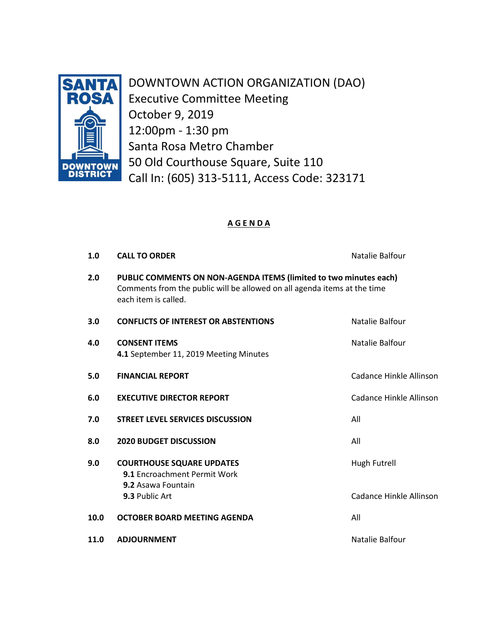

DOWNTOWN ACTION ORGANIZATION (DAO) Executive Committee Meeting October 9, 2019 12:00pm - 1:30 pm Santa Rosa Metro Chamber 50 Old Courthouse Square, Suite 110 Call In: (605) 313-5111, Access Code: 323171

# **A G E N D A**

| 1.0  | <b>CALL TO ORDER</b>                                                                                                                                                  | Natalie Balfour         |
|------|-----------------------------------------------------------------------------------------------------------------------------------------------------------------------|-------------------------|
| 2.0  | PUBLIC COMMENTS ON NON-AGENDA ITEMS (limited to two minutes each)<br>Comments from the public will be allowed on all agenda items at the time<br>each item is called. |                         |
| 3.0  | <b>CONFLICTS OF INTEREST OR ABSTENTIONS</b>                                                                                                                           | Natalie Balfour         |
| 4.0  | <b>CONSENT ITEMS</b><br>4.1 September 11, 2019 Meeting Minutes                                                                                                        | Natalie Balfour         |
| 5.0  | <b>FINANCIAL REPORT</b>                                                                                                                                               | Cadance Hinkle Allinson |
| 6.0  | <b>EXECUTIVE DIRECTOR REPORT</b>                                                                                                                                      | Cadance Hinkle Allinson |
| 7.0  | <b>STREET LEVEL SERVICES DISCUSSION</b>                                                                                                                               | All                     |
| 8.0  | <b>2020 BUDGET DISCUSSION</b>                                                                                                                                         | All                     |
| 9.0  | <b>COURTHOUSE SQUARE UPDATES</b><br>9.1 Encroachment Permit Work<br>9.2 Asawa Fountain                                                                                | Hugh Futrell            |
|      | 9.3 Public Art                                                                                                                                                        | Cadance Hinkle Allinson |
| 10.0 | OCTOBER BOARD MEETING AGENDA                                                                                                                                          | All                     |
| 11.0 | <b>ADJOURNMENT</b>                                                                                                                                                    | Natalie Balfour         |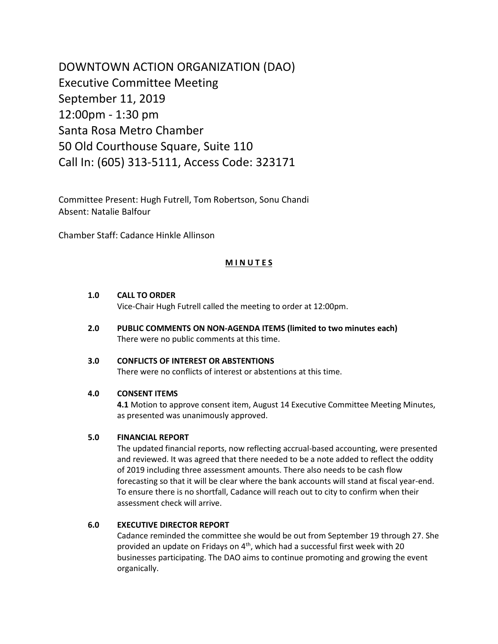DOWNTOWN ACTION ORGANIZATION (DAO) Executive Committee Meeting September 11, 2019 12:00pm - 1:30 pm Santa Rosa Metro Chamber 50 Old Courthouse Square, Suite 110 Call In: (605) 313-5111, Access Code: 323171

Committee Present: Hugh Futrell, Tom Robertson, Sonu Chandi Absent: Natalie Balfour

Chamber Staff: Cadance Hinkle Allinson

# **M I N U T E S**

# **1.0 CALL TO ORDER**

Vice-Chair Hugh Futrell called the meeting to order at 12:00pm.

**2.0 PUBLIC COMMENTS ON NON-AGENDA ITEMS (limited to two minutes each)** There were no public comments at this time.

## **3.0 CONFLICTS OF INTEREST OR ABSTENTIONS**

There were no conflicts of interest or abstentions at this time.

# **4.0 CONSENT ITEMS**

 **4.1** Motion to approve consent item, August 14 Executive Committee Meeting Minutes, as presented was unanimously approved.

#### **5.0 FINANCIAL REPORT**

The updated financial reports, now reflecting accrual-based accounting, were presented and reviewed. It was agreed that there needed to be a note added to reflect the oddity of 2019 including three assessment amounts. There also needs to be cash flow forecasting so that it will be clear where the bank accounts will stand at fiscal year-end. To ensure there is no shortfall, Cadance will reach out to city to confirm when their assessment check will arrive.

# **6.0 EXECUTIVE DIRECTOR REPORT**

Cadance reminded the committee she would be out from September 19 through 27. She provided an update on Fridays on 4<sup>th</sup>, which had a successful first week with 20 businesses participating. The DAO aims to continue promoting and growing the event organically.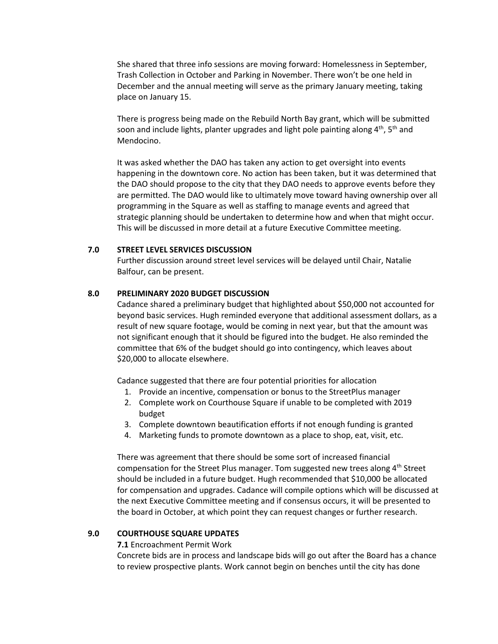She shared that three info sessions are moving forward: Homelessness in September, Trash Collection in October and Parking in November. There won't be one held in December and the annual meeting will serve as the primary January meeting, taking place on January 15.

There is progress being made on the Rebuild North Bay grant, which will be submitted soon and include lights, planter upgrades and light pole painting along  $4^{th}$ ,  $5^{th}$  and Mendocino.

It was asked whether the DAO has taken any action to get oversight into events happening in the downtown core. No action has been taken, but it was determined that the DAO should propose to the city that they DAO needs to approve events before they are permitted. The DAO would like to ultimately move toward having ownership over all programming in the Square as well as staffing to manage events and agreed that strategic planning should be undertaken to determine how and when that might occur. This will be discussed in more detail at a future Executive Committee meeting.

## **7.0 STREET LEVEL SERVICES DISCUSSION**

Further discussion around street level services will be delayed until Chair, Natalie Balfour, can be present.

# **8.0 PRELIMINARY 2020 BUDGET DISCUSSION**

Cadance shared a preliminary budget that highlighted about \$50,000 not accounted for beyond basic services. Hugh reminded everyone that additional assessment dollars, as a result of new square footage, would be coming in next year, but that the amount was not significant enough that it should be figured into the budget. He also reminded the committee that 6% of the budget should go into contingency, which leaves about \$20,000 to allocate elsewhere.

Cadance suggested that there are four potential priorities for allocation

- 1. Provide an incentive, compensation or bonus to the StreetPlus manager
- 2. Complete work on Courthouse Square if unable to be completed with 2019 budget
- 3. Complete downtown beautification efforts if not enough funding is granted
- 4. Marketing funds to promote downtown as a place to shop, eat, visit, etc.

There was agreement that there should be some sort of increased financial compensation for the Street Plus manager. Tom suggested new trees along 4<sup>th</sup> Street should be included in a future budget. Hugh recommended that \$10,000 be allocated for compensation and upgrades. Cadance will compile options which will be discussed at the next Executive Committee meeting and if consensus occurs, it will be presented to the board in October, at which point they can request changes or further research.

# **9.0 COURTHOUSE SQUARE UPDATES**

**7.1** Encroachment Permit Work

Concrete bids are in process and landscape bids will go out after the Board has a chance to review prospective plants. Work cannot begin on benches until the city has done